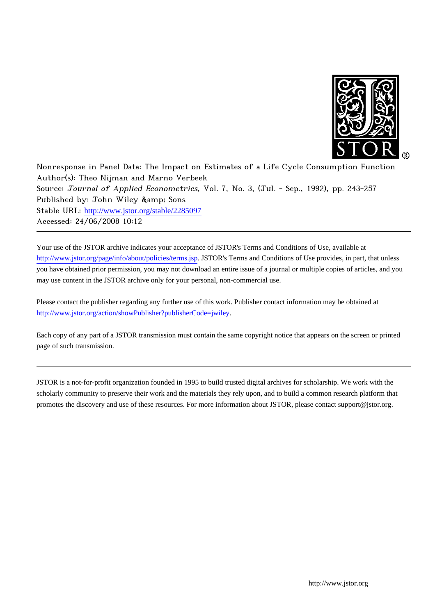

Nonresponse in Panel Data: The Impact on Estimates of a Life Cycle Consumption Function Author(s): Theo Nijman and Marno Verbeek Source: Journal of Applied Econometrics, Vol. 7, No. 3, (Jul. - Sep., 1992), pp. 243-257 Published by: John Wiley & amp; Sons Stable URL: [http://www.jstor.org/stable/2285097](http://www.jstor.org/stable/2285097?origin=JSTOR-pdf) Accessed: 24/06/2008 10:12

Your use of the JSTOR archive indicates your acceptance of JSTOR's Terms and Conditions of Use, available at <http://www.jstor.org/page/info/about/policies/terms.jsp>. JSTOR's Terms and Conditions of Use provides, in part, that unless you have obtained prior permission, you may not download an entire issue of a journal or multiple copies of articles, and you may use content in the JSTOR archive only for your personal, non-commercial use.

Please contact the publisher regarding any further use of this work. Publisher contact information may be obtained at [http://www.jstor.org/action/showPublisher?publisherCode=jwiley.](http://www.jstor.org/action/showPublisher?publisherCode=jwiley)

Each copy of any part of a JSTOR transmission must contain the same copyright notice that appears on the screen or printed page of such transmission.

JSTOR is a not-for-profit organization founded in 1995 to build trusted digital archives for scholarship. We work with the scholarly community to preserve their work and the materials they rely upon, and to build a common research platform that promotes the discovery and use of these resources. For more information about JSTOR, please contact support@jstor.org.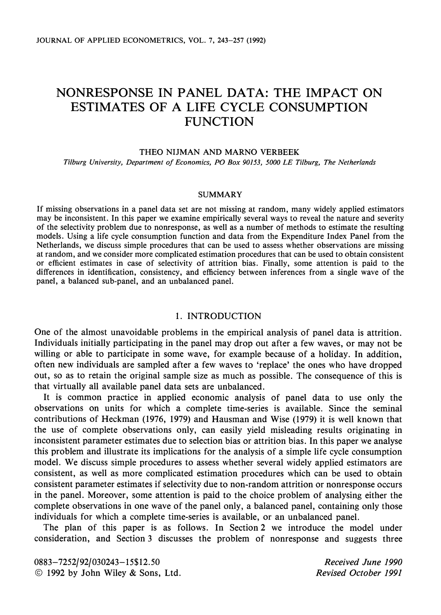# NONRESPONSE IN PANEL DATA: THE IMPACT ON ESTIMATES OF A LIFE CYCLE CONSUMPTION **FUNCTION**

#### THEO NIJMAN AND MARNO VERBEEK

Tilburg University, Department of Economics, PO Box 90153, 5000 LE Tilburg, The Netherlands

### **SUMMARY**

If missing observations in a panel data set are not missing at random, many widely applied estimators may be inconsistent. In this paper we examine empirically several ways to reveal the nature and severity of the selectivity problem due to nonresponse, as well as a number of methods to estimate the resulting models. Using a life cycle consumption function and data from the Expenditure Index Panel from the Netherlands, we discuss simple procedures that can be used to assess whether observations are missing at random, and we consider more complicated estimation procedures that can be used to obtain consistent or efficient estimates in case of selectivity of attrition bias. Finally, some attention is paid to the differences in identification, consistency, and efficiency between inferences from a single wave of the panel, a balanced sub-panel, and an unbalanced panel.

# 1. INTRODUCTION

One of the almost unavoidable problems in the empirical analysis of panel data is attrition. Individuals initially participating in the panel may drop out after a few waves, or may not be willing or able to participate in some wave, for example because of a holiday. In addition, often new individuals are sampled after a few waves to 'replace' the ones who have dropped out, so as to retain the original sample size as much as possible. The consequence of this is that virtually all available panel data sets are unbalanced.

It is common practice in applied economic analysis of panel data to use only the observations on units for which a complete time-series is available. Since the seminal contributions of Heckman (1976, 1979) and Hausman and Wise (1979) it is well known that the use of complete observations only, can easily yield misleading results originating in inconsistent parameter estimates due to selection bias or attrition bias. In this paper we analyse this problem and illustrate its implications for the analysis of a simple life cycle consumption model. We discuss simple procedures to assess whether several widely applied estimators are consistent, as well as more complicated estimation procedures which can be used to obtain consistent parameter estimates if selectivity due to non-random attrition or nonresponse occurs in the panel. Moreover, some attention is paid to the choice problem of analysing either the complete observations in one wave of the panel only, a balanced panel, containing only those individuals for which a complete time-series is available, or an unbalanced panel.

The plan of this paper is as follows. In Section 2 we introduce the model under consideration, and Section 3 discusses the problem of nonresponse and suggests three

0883-7252/92/030243-15\$12.50 © 1992 by John Wiley & Sons, Ltd.

Received June 1990 **Revised October 1991**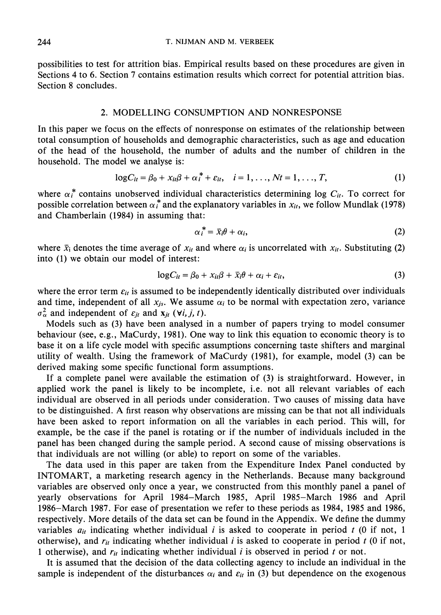possibilities to test for attrition bias. Empirical results based on these procedures are given in Sections 4 to 6. Section 7 contains estimation results which correct for potential attrition bias. Section 8 concludes.

# 2. MODELLING CONSUMPTION AND NONRESPONSE

In this paper we focus on the effects of nonresponse on estimates of the relationship between total consumption of households and demographic characteristics, such as age and education of the head of the household, the number of adults and the number of children in the household. The model we analyse is:

$$
\log C_{it} = \beta_0 + x_{it}\beta + \alpha_i^* + \varepsilon_{it}, \quad i = 1, ..., Nt = 1, ..., T,
$$
 (1)

where  $\alpha_i^*$  contains unobserved individual characteristics determining log  $C_{ii}$ . To correct for possible correlation between  $\alpha_i^*$  and the explanatory variables in  $x_{ii}$ , we follow Mundlak (1978) and Chamberlain (1984) in assuming that:

$$
\alpha_i^* = \bar{x}_i \theta + \alpha_i, \tag{2}
$$

where  $\bar{x}_i$  denotes the time average of  $x_{it}$  and where  $\alpha_i$  is uncorrelated with  $x_{it}$ . Substituting (2) into (1) we obtain our model of interest:

$$
\log C_{it} = \beta_0 + x_{it}\beta + \bar{x}_i\theta + \alpha_i + \varepsilon_{it},\tag{3}
$$

where the error term  $\varepsilon_{it}$  is assumed to be independently identically distributed over individuals and time, independent of all  $x_{js}$ . We assume  $\alpha_i$  to be normal with expectation zero, variance  $\sigma_{\alpha}^2$  and independent of  $\varepsilon_{it}$  and  $\mathbf{x}_{it}$  ( $\forall i, j, t$ ).

Models such as (3) have been analysed in a number of papers trying to model consumer behaviour (see, e.g., MaCurdy, 1981). One way to link this equation to economic theory is to base it on a life cycle model with specific assumptions concerning taste shifters and marginal utility of wealth. Using the framework of MaCurdy (1981), for example, model (3) can be derived making some specific functional form assumptions.

If a complete panel were available the estimation of (3) is straightforward. However, in applied work the panel is likely to be incomplete, i.e. not all relevant variables of each individual are observed in all periods under consideration. Two causes of missing data have to be distinguished. A first reason why observations are missing can be that not all individuals have been asked to report information on all the variables in each period. This will, for example, be the case if the panel is rotating or if the number of individuals included in the panel has been changed during the sample period. A second cause of missing observations is that individuals are not willing (or able) to report on some of the variables.

The data used in this paper are taken from the Expenditure Index Panel conducted by INTOMART, a marketing research agency in the Netherlands. Because many background variables are observed only once a year, we constructed from this monthly panel a panel of yearly observations for April 1984–March 1985, April 1985–March 1986 and April 1986–March 1987. For ease of presentation we refer to these periods as 1984, 1985 and 1986, respectively. More details of the data set can be found in the Appendix. We define the dummy variables  $a_{it}$  indicating whether individual *i* is asked to cooperate in period *t* (0 if not, 1) otherwise), and  $r_{it}$  indicating whether individual i is asked to cooperate in period t (0 if not, 1 otherwise), and  $r_{it}$  indicating whether individual  $i$  is observed in period  $t$  or not.

It is assumed that the decision of the data collecting agency to include an individual in the sample is independent of the disturbances  $\alpha_i$  and  $\varepsilon_{ii}$  in (3) but dependence on the exogenous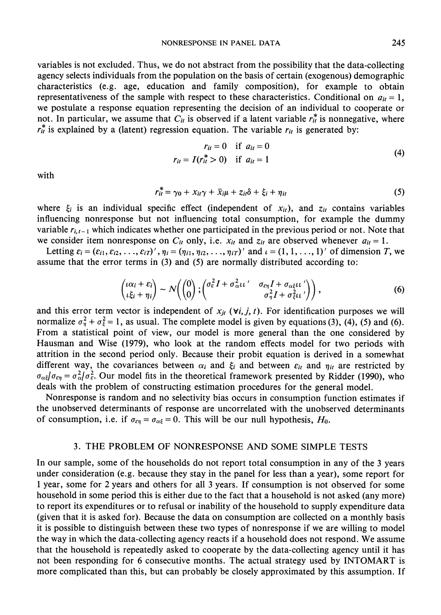variables is not excluded. Thus, we do not abstract from the possibility that the data-collecting agency selects individuals from the population on the basis of certain (exogenous) demographic characteristics (e.g. age, education and family composition), for example to obtain representativeness of the sample with respect to these characteristics. Conditional on  $a_{it} = 1$ , we postulate a response equation representing the decision of an individual to cooperate or not. In particular, we assume that  $C_{it}$  is observed if a latent variable  $r_{it}^*$  is nonnegative, where  $r_{it}^*$  is explained by a (latent) regression equation. The variable  $r_{it}$  is generated by:

$$
r_{it} = 0 \t\t \text{if } a_{it} = 0r_{it} = I(r_{it}^{*} > 0) \t\t \text{if } a_{it} = 1
$$
\n(4)

with

$$
r_{it}^* = \gamma_0 + x_{it}\gamma + \bar{x}_{i}\mu + z_{it}\delta + \xi_i + \eta_{it}
$$
\n<sup>(5)</sup>

where  $\xi_i$  is an individual specific effect (independent of  $x_{it}$ ), and  $z_{it}$  contains variables influencing nonresponse but not influencing total consumption, for example the dummy variable  $r_{i,t-1}$  which indicates whether one participated in the previous period or not. Note that we consider item nonresponse on  $C_{it}$  only, i.e.  $x_{it}$  and  $z_{it}$  are observed whenever  $a_{it} = 1$ .

Letting  $\varepsilon_i = (\varepsilon_{i1}, \varepsilon_{i2}, \dots, \varepsilon_{iT})'$ ,  $\eta_i = (\eta_{i1}, \eta_{i2}, \dots, \eta_{iT})'$  and  $\iota = (1, 1, \dots, 1)'$  of dimension T, we assume that the error terms in  $(3)$  and  $(5)$  are normally distributed according to:

$$
\begin{pmatrix} \iota \alpha_i + \varepsilon_i \\ \iota \xi_i + \eta_i \end{pmatrix} \sim N \Big( \begin{pmatrix} 0 \\ 0 \end{pmatrix} ; \begin{pmatrix} \sigma_{\varepsilon}^2 I + \sigma_{\alpha\iota}^2 \iota \iota' & \sigma_{\varepsilon\eta} I + \sigma_{\alpha\iota} \iota \iota' \\ \sigma_{\eta}^2 I + \sigma_{\varepsilon}^2 \iota \iota' \end{pmatrix} \Big), \tag{6}
$$

and this error term vector is independent of  $x_{jt}$  ( $\forall i, j, t$ ). For identification purposes we will normalize  $\sigma_{\eta}^2 + \sigma_{\xi}^2 = 1$ , as usual. The complete model is given by equations (3), (4), (5) and (6). From a statistical point of view, our model is more general than the one considered by Hausman and Wise (1979), who look at the random effects model for two periods with attrition in the second period only. Because their probit equation is derived in a somewhat different way, the covariances between  $\alpha_i$  and  $\xi_i$  and between  $\varepsilon_{it}$  and  $\eta_{it}$  are restricted by  $\sigma_{\alpha\xi}/\sigma_{\epsilon\eta} = \sigma_{\alpha}^2/\sigma_{\epsilon}^2$ . Our model fits in the theoretical framework presented by Ridder (1990), who deals with the problem of constructing estimation procedures for the general model.

Nonresponse is random and no selectivity bias occurs in consumption function estimates if the unobserved determinants of response are uncorrelated with the unobserved determinants of consumption, i.e. if  $\sigma_{\epsilon\eta} = \sigma_{\alpha\xi} = 0$ . This will be our null hypothesis,  $H_0$ .

## 3. THE PROBLEM OF NONRESPONSE AND SOME SIMPLE TESTS

In our sample, some of the households do not report total consumption in any of the 3 years under consideration (e.g. because they stay in the panel for less than a year), some report for 1 year, some for 2 years and others for all 3 years. If consumption is not observed for some household in some period this is either due to the fact that a household is not asked (any more) to report its expenditures or to refusal or inability of the household to supply expenditure data (given that it is asked for). Because the data on consumption are collected on a monthly basis it is possible to distinguish between these two types of nonresponse if we are willing to model the way in which the data-collecting agency reacts if a household does not respond. We assume that the household is repeatedly asked to cooperate by the data-collecting agency until it has not been responding for 6 consecutive months. The actual strategy used by INTOMART is more complicated than this, but can probably be closely approximated by this assumption. If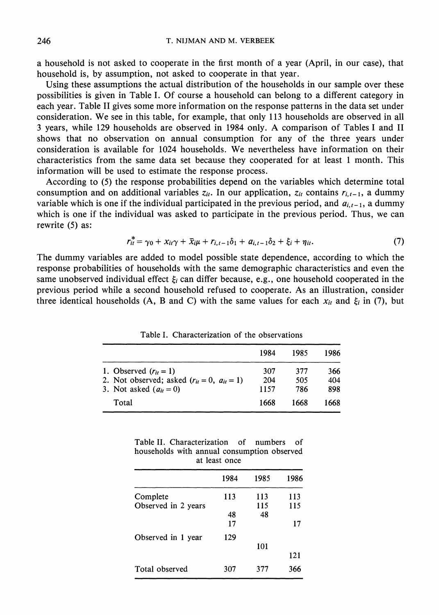a household is not asked to cooperate in the first month of a year (April, in our case), that household is, by assumption, not asked to cooperate in that year.

Using these assumptions the actual distribution of the households in our sample over these possibilities is given in Table I. Of course a household can belong to a different category in each year. Table II gives some more information on the response patterns in the data set under consideration. We see in this table, for example, that only 113 households are observed in all 3 years, while 129 households are observed in 1984 only. A comparison of Tables I and II shows that no observation on annual consumption for any of the three years under consideration is available for 1024 households. We nevertheless have information on their characteristics from the same data set because they cooperated for at least 1 month. This information will be used to estimate the response process.

According to (5) the response probabilities depend on the variables which determine total consumption and on additional variables  $z_{it}$ . In our application,  $z_{it}$  contains  $r_{i,t-1}$ , a dummy variable which is one if the individual participated in the previous period, and  $a_{i,t-1}$ , a dummy which is one if the individual was asked to participate in the previous period. Thus, we can rewrite (5) as:

$$
r_{it}^* = \gamma_0 + x_{it}\gamma + \bar{x}_{i}\mu + r_{i,t-1}\delta_1 + a_{i,t-1}\delta_2 + \xi_i + \eta_{it}. \tag{7}
$$

The dummy variables are added to model possible state dependence, according to which the response probabilities of households with the same demographic characteristics and even the same unobserved individual effect  $\xi_i$  can differ because, e.g., one household cooperated in the previous period while a second household refused to cooperate. As an illustration, consider three identical households (A, B and C) with the same values for each  $x_{it}$  and  $\xi_i$  in (7), but

|                                               | 1984 | 1985 | 1986 |
|-----------------------------------------------|------|------|------|
| 1. Observed $(r_{it}=1)$                      | 307  | 377  | 366  |
| 2. Not observed; asked $(r_{it}=0, a_{it}=1)$ | 204  | 505  | 404  |
| 3. Not asked $(a_{it}=0)$                     | 1157 | 786  | 898  |
| Total                                         | 1668 | 1668 | 1668 |

Table I. Characterization of the observations

| Table II. Characterization of numbers of    |  |  |  |  |  |  |  |
|---------------------------------------------|--|--|--|--|--|--|--|
| households with annual consumption observed |  |  |  |  |  |  |  |
| at least once                               |  |  |  |  |  |  |  |

|                     | 1984 | 1985 | 1986 |
|---------------------|------|------|------|
| Complete            | 113  | 113  | 113  |
| Observed in 2 years |      | 115  | 115  |
|                     | 48   | 48   |      |
|                     | 17   |      | 17   |
| Observed in 1 year  | 129  |      |      |
|                     |      | 101  |      |
|                     |      |      | 121  |
| Total observed      | 307  | 377  | 366  |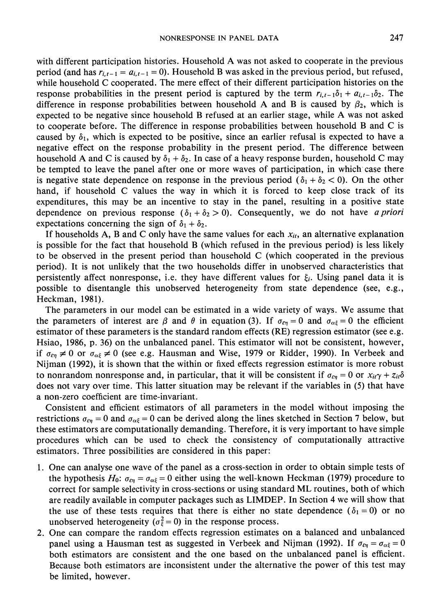with different participation histories. Household A was not asked to cooperate in the previous period (and has  $r_{i,t-1} = a_{i,t-1} = 0$ ). Household B was asked in the previous period, but refused, while household C cooperated. The mere effect of their different participation histories on the response probabilities in the present period is captured by the term  $r_{i,t-1}\delta_1 + a_{i,t-1}\delta_2$ . The difference in response probabilities between household A and B is caused by  $\beta_2$ , which is expected to be negative since household B refused at an earlier stage, while A was not asked to cooperate before. The difference in response probabilities between household B and C is caused by  $\delta_1$ , which is expected to be positive, since an earlier refusal is expected to have a negative effect on the response probability in the present period. The difference between household A and C is caused by  $\delta_1 + \delta_2$ . In case of a heavy response burden, household C may be tempted to leave the panel after one or more waves of participation, in which case there is negative state dependence on response in the previous period  $(\delta_1 + \delta_2 < 0)$ . On the other hand, if household C values the way in which it is forced to keep close track of its expenditures, this may be an incentive to stay in the panel, resulting in a positive state dependence on previous response ( $\delta_1 + \delta_2 > 0$ ). Consequently, we do not have *a priori* expectations concerning the sign of  $\delta_1 + \delta_2$ .

If households A, B and C only have the same values for each  $x_{it}$ , an alternative explanation is possible for the fact that household B (which refused in the previous period) is less likely to be observed in the present period than household C (which cooperated in the previous period). It is not unlikely that the two households differ in unobserved characteristics that persistently affect nonresponse, i.e. they have different values for  $\xi_i$ . Using panel data it is possible to disentangle this unobserved heterogeneity from state dependence (see, e.g., Heckman, 1981).

The parameters in our model can be estimated in a wide variety of ways. We assume that the parameters of interest are  $\beta$  and  $\theta$  in equation (3). If  $\sigma_{\epsilon\eta} = 0$  and  $\sigma_{\alpha\xi} = 0$  the efficient estimator of these parameters is the standard random effects (RE) regression estimator (see e.g. Hsiao, 1986, p. 36) on the unbalanced panel. This estimator will not be consistent, however, if  $\sigma_{\epsilon\eta} \neq 0$  or  $\sigma_{\alpha\xi} \neq 0$  (see e.g. Hausman and Wise, 1979 or Ridder, 1990). In Verbeek and Nijman (1992), it is shown that the within or fixed effects regression estimator is more robust to nonrandom nonresponse and, in particular, that it will be consistent if  $\sigma_{\epsilon\eta} = 0$  or  $x_{it}\gamma + z_{it}\delta$ does not vary over time. This latter situation may be relevant if the variables in (5) that have a non-zero coefficient are time-invariant.

Consistent and efficient estimators of all parameters in the model without imposing the restrictions  $\sigma_{\epsilon\eta} = 0$  and  $\sigma_{\alpha\xi} = 0$  can be derived along the lines sketched in Section 7 below, but these estimators are computationally demanding. Therefore, it is very important to have simple procedures which can be used to check the consistency of computationally attractive estimators. Three possibilities are considered in this paper:

- 1. One can analyse one wave of the panel as a cross-section in order to obtain simple tests of the hypothesis  $H_0$ :  $\sigma_{\epsilon\eta} = \sigma_{\alpha\xi} = 0$  either using the well-known Heckman (1979) procedure to correct for sample selectivity in cross-sections or using standard ML routines, both of which are readily available in computer packages such as LIMDEP. In Section 4 we will show that the use of these tests requires that there is either no state dependence ( $\delta_1 = 0$ ) or no unobserved heterogeneity ( $\sigma_{\xi}^2 = 0$ ) in the response process.
- 2. One can compare the random effects regression estimates on a balanced and unbalanced panel using a Hausman test as suggested in Verbeek and Nijman (1992). If  $\sigma_{\epsilon\eta} = \sigma_{\alpha\xi} = 0$ both estimators are consistent and the one based on the unbalanced panel is efficient. Because both estimators are inconsistent under the alternative the power of this test may be limited, however.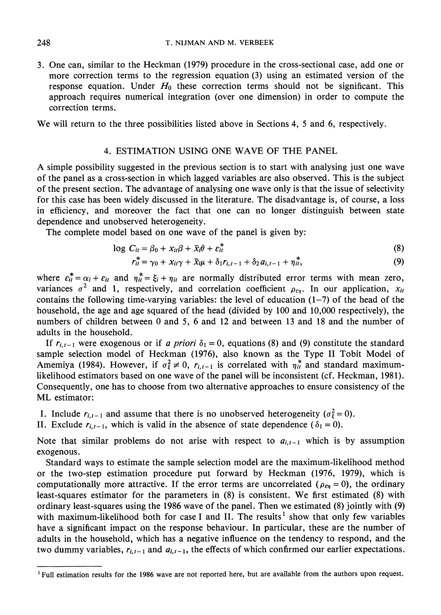3. One can, similar to the Heckman (1979) procedure in the cross-sectional case, add one or more correction terms to the regression equation (3) using an estimated version of the response equation. Under  $H_0$  these correction terms should not be significant. This approach requires numerical integration (over one dimension) in order to compute the correction terms.

We will return to the three possibilities listed above in Sections 4, 5 and 6, respectively.

# 4. ESTIMATION USING ONE WAVE OF THE PANEL

A simple possibility suggested in the previous section is to start with analysing just one wave of the panel as a cross-section in which lagged variables are also observed. This is the subject of the present section. The advantage of analysing one wave only is that the issue of selectivity for this case has been widely discussed in the literature. The disadvantage is, of course, a loss in efficiency, and moreover the fact that one can no longer distinguish between state dependence and unobserved heterogeneity.

The complete model based on one wave of the panel is given by:

$$
\log C_{it} = \beta_0 + x_{it}\beta + \bar{x}_i\theta + \varepsilon_{it}^*
$$
\n(8)

$$
r_{it}^* = \gamma_0 + x_{it}\gamma + \overline{x}_i\mu + \delta_1 r_{i,t-1} + \delta_2 a_{i,t-1} + \eta_{it}^*,
$$
\n(9)

where  $\varepsilon_{it}^* = \alpha_i + \varepsilon_{it}$  and  $\eta_{it}^* = \xi_i + \eta_{it}$  are normally distributed error terms with mean zero, variances  $\sigma^2$  and 1, respectively, and correlation coefficient  $\rho_{\varepsilon\eta}$ . In our application,  $x_{it}$ contains the following time-varying variables: the level of education  $(1-7)$  of the head of the household, the age and age squared of the head (divided by 100 and 10,000 respectively), the numbers of children between 0 and 5, 6 and 12 and between 13 and 18 and the number of adults in the household.

If  $r_{i,t-1}$  were exogenous or if a priori  $\delta_1 = 0$ , equations (8) and (9) constitute the standard sample selection model of Heckman (1976), also known as the Type II Tobit Model of Amemiya (1984). However, if  $\sigma_{\xi}^2 \neq 0$ ,  $r_{i,t-1}$  is correlated with  $\eta_{it}^*$  and standard maximumlikelihood estimators based on one wave of the panel will be inconsistent (cf. Heckman, 1981). Consequently, one has to choose from two alternative approaches to ensure consistency of the ML estimator:

I. Include  $r_{i,t-1}$  and assume that there is no unobserved heterogeneity ( $\sigma_{\xi}^2 = 0$ ).

II. Exclude  $r_{i,t-1}$ , which is valid in the absence of state dependence ( $\delta_1 = 0$ ).

Note that similar problems do not arise with respect to  $a_{i,t-1}$  which is by assumption exogenous.

Standard ways to estimate the sample selection model are the maximum-likelihood method or the two-step estimation procedure put forward by Heckman (1976, 1979), which is computationally more attractive. If the error terms are uncorrelated ( $\rho_{\epsilon n} = 0$ ), the ordinary least-squares estimator for the parameters in  $(8)$  is consistent. We first estimated  $(8)$  with ordinary least-squares using the 1986 wave of the panel. Then we estimated (8) jointly with (9) with maximum-likelihood both for case I and II. The results<sup>1</sup> show that only few variables have a significant impact on the response behaviour. In particular, these are the number of adults in the household, which has a negative influence on the tendency to respond, and the two dummy variables,  $r_{i,i-1}$  and  $a_{i,i-1}$ , the effects of which confirmed our earlier expectations.

248

<sup>&</sup>lt;sup>1</sup> Full estimation results for the 1986 wave are not reported here, but are available from the authors upon request.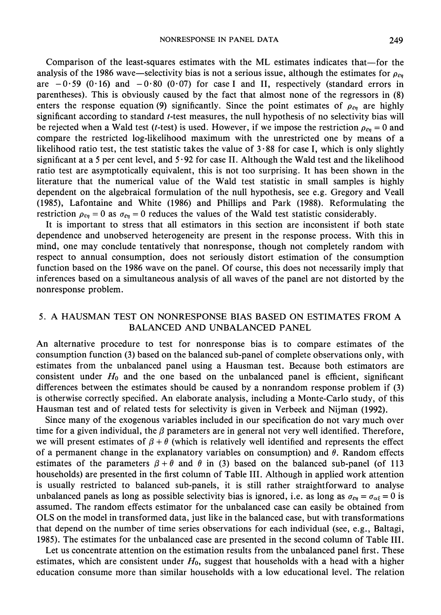Comparison of the least-squares estimates with the ML estimates indicates that—for the analysis of the 1986 wave—selectivity bias is not a serious issue, although the estimates for  $\rho_{\epsilon n}$ are  $-0.59$  (0.16) and  $-0.80$  (0.07) for case I and II, respectively (standard errors in parentheses). This is obviously caused by the fact that almost none of the regressors in (8) enters the response equation (9) significantly. Since the point estimates of  $\rho_{\epsilon n}$  are highly significant according to standard t-test measures, the null hypothesis of no selectivity bias will be rejected when a Wald test (*t*-test) is used. However, if we impose the restriction  $\rho_{\epsilon n} = 0$  and compare the restricted log-likelihood maximum with the unrestricted one by means of a likelihood ratio test, the test statistic takes the value of  $3.88$  for case I, which is only slightly significant at a 5 per cent level, and  $5.92$  for case II. Although the Wald test and the likelihood ratio test are asymptotically equivalent, this is not too surprising. It has been shown in the literature that the numerical value of the Wald test statistic in small samples is highly dependent on the algebraical formulation of the null hypothesis, see e.g. Gregory and Veall (1985), Lafontaine and White (1986) and Phillips and Park (1988). Reformulating the restriction  $\rho_{\epsilon\eta} = 0$  as  $\sigma_{\epsilon\eta} = 0$  reduces the values of the Wald test statistic considerably.

It is important to stress that all estimators in this section are inconsistent if both state dependence and unobserved heterogeneity are present in the response process. With this in mind, one may conclude tentatively that nonresponse, though not completely random with respect to annual consumption, does not seriously distort estimation of the consumption function based on the 1986 wave on the panel. Of course, this does not necessarily imply that inferences based on a simultaneous analysis of all waves of the panel are not distorted by the nonresponse problem.

# 5. A HAUSMAN TEST ON NONRESPONSE BIAS BASED ON ESTIMATES FROM A **BALANCED AND UNBALANCED PANEL**

An alternative procedure to test for nonresponse bias is to compare estimates of the consumption function (3) based on the balanced sub-panel of complete observations only, with estimates from the unbalanced panel using a Hausman test. Because both estimators are consistent under  $H_0$  and the one based on the unbalanced panel is efficient, significant differences between the estimates should be caused by a nonrandom response problem if (3) is otherwise correctly specified. An elaborate analysis, including a Monte-Carlo study, of this Hausman test and of related tests for selectivity is given in Verbeek and Nijman (1992).

Since many of the exogenous variables included in our specification do not vary much over time for a given individual, the  $\beta$  parameters are in general not very well identified. Therefore, we will present estimates of  $\beta + \theta$  (which is relatively well identified and represents the effect of a permanent change in the explanatory variables on consumption) and  $\theta$ . Random effects estimates of the parameters  $\beta + \theta$  and  $\theta$  in (3) based on the balanced sub-panel (of 113 households) are presented in the first column of Table III. Although in applied work attention is usually restricted to balanced sub-panels, it is still rather straightforward to analyse unbalanced panels as long as possible selectivity bias is ignored, i.e. as long as  $\sigma_{\epsilon n} = \sigma_{\alpha \epsilon} = 0$  is assumed. The random effects estimator for the unbalanced case can easily be obtained from OLS on the model in transformed data, just like in the balanced case, but with transformations that depend on the number of time series observations for each individual (see, e.g., Baltagi, 1985). The estimates for the unbalanced case are presented in the second column of Table III.

Let us concentrate attention on the estimation results from the unbalanced panel first. These estimates, which are consistent under  $H_0$ , suggest that households with a head with a higher education consume more than similar households with a low educational level. The relation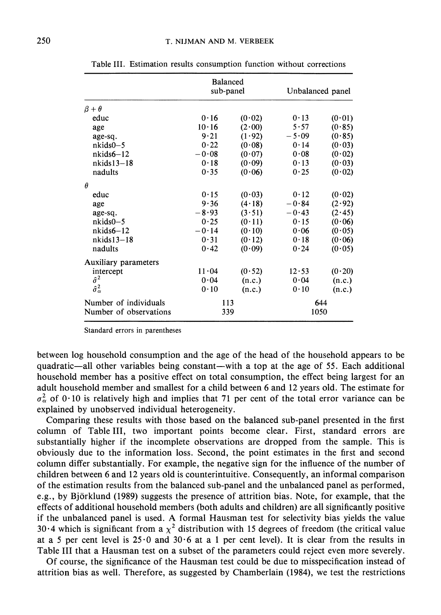|                                                 | <b>Balanced</b><br>sub-panel |        | Unbalanced panel |        |  |
|-------------------------------------------------|------------------------------|--------|------------------|--------|--|
| $\beta + \theta$                                |                              |        |                  |        |  |
| educ                                            | 0.16                         | (0.02) | 0.13             | (0.01) |  |
| age                                             | $10 \cdot 16$                | (2.00) | 5.57             | (0.85) |  |
| age-sq.                                         | 9.21                         | (1.92) | $-5.09$          | (0.85) |  |
| $nkids0-5$                                      | 0.22                         | (0.08) | 0.14             | (0.03) |  |
| $nkids6-12$                                     | $-0.08$                      | (0.07) | 0.08             | (0.02) |  |
| $nkids13-18$                                    | 0.18                         | (0.09) | 0.13             | (0.03) |  |
| nadults                                         | 0.35                         | (0.06) | 0.25             | (0.02) |  |
| $\theta$                                        |                              |        |                  |        |  |
| educ                                            | 0.15                         | (0.03) | 0.12             | (0.02) |  |
| age                                             | 9.36                         | (4.18) | $-0.84$          | (2.92) |  |
| age-sq.                                         | $-8.93$                      | (3.51) | $-0.43$          | (2.45) |  |
| $nkids0-5$                                      | 0.25                         | (0.11) | 0.15             | (0.06) |  |
| $nkids6-12$                                     | $-0.14$                      | (0.10) | 0.06             | (0.05) |  |
| $nkids13-18$                                    | 0.31                         | (0.12) | 0.18             | (0.06) |  |
| nadults                                         | 0.42                         | (0.09) | 0.24             | (0.05) |  |
| Auxiliary parameters                            |                              |        |                  |        |  |
| intercept                                       | 11.04                        | (0.52) | 12.53            | (0.20) |  |
| $\hat{\sigma}^2$                                | 0.04                         | (n.c.) | 0.04             | (n.c.) |  |
| $\hat{\sigma}_{\alpha}^{2}$                     | 0.10                         | (n.c.) | 0.10             | (n.c.) |  |
| Number of individuals<br>Number of observations | 113<br>339                   |        | 1050             | 644    |  |

Table III. Estimation results consumption function without corrections

Standard errors in parentheses

between log household consumption and the age of the head of the household appears to be quadratic—all other variables being constant—with a top at the age of 55. Each additional household member has a positive effect on total consumption, the effect being largest for an adult household member and smallest for a child between 6 and 12 years old. The estimate for  $\sigma_{\alpha}^2$  of 0.10 is relatively high and implies that 71 per cent of the total error variance can be explained by unobserved individual heterogeneity.

Comparing these results with those based on the balanced sub-panel presented in the first column of Table III, two important points become clear. First, standard errors are substantially higher if the incomplete observations are dropped from the sample. This is obviously due to the information loss. Second, the point estimates in the first and second column differ substantially. For example, the negative sign for the influence of the number of children between 6 and 12 years old is counterintuitive. Consequently, an informal comparison of the estimation results from the balanced sub-panel and the unbalanced panel as performed, e.g., by Björklund (1989) suggests the presence of attrition bias. Note, for example, that the effects of additional household members (both adults and children) are all significantly positive if the unbalanced panel is used. A formal Hausman test for selectivity bias yields the value 30.4 which is significant from a  $\chi^2$  distribution with 15 degrees of freedom (the critical value at a 5 per cent level is  $25.0$  and  $30.6$  at a 1 per cent level). It is clear from the results in Table III that a Hausman test on a subset of the parameters could reject even more severely.

Of course, the significance of the Hausman test could be due to misspecification instead of attrition bias as well. Therefore, as suggested by Chamberlain (1984), we test the restrictions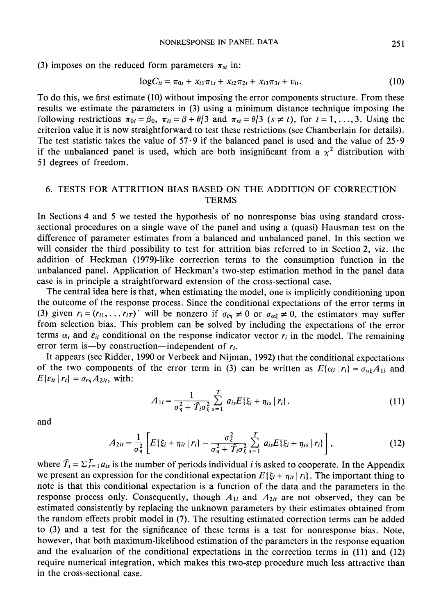(3) imposes on the reduced form parameters  $\pi_{st}$  in:

$$
\log C_{it} = \pi_{0t} + x_{i1}\pi_{1t} + x_{i2}\pi_{2t} + x_{i3}\pi_{3t} + v_{it}. \tag{10}
$$

To do this, we first estimate (10) without imposing the error components structure. From these results we estimate the parameters in (3) using a minimum distance technique imposing the following restrictions  $\pi_{0t} = \beta_0$ ,  $\pi_{tt} = \beta + \theta/3$  and  $\pi_{st} = \theta/3$  ( $s \neq t$ ), for  $t = 1, ..., 3$ . Using the criterion value it is now straightforward to test these restrictions (see Chamberlain for details). The test statistic takes the value of  $57.9$  if the balanced panel is used and the value of  $25.9$ if the unbalanced panel is used, which are both insignificant from a  $\chi^2$  distribution with 51 degrees of freedom.

# 6. TESTS FOR ATTRITION BIAS BASED ON THE ADDITION OF CORRECTION **TERMS**

In Sections 4 and 5 we tested the hypothesis of no nonresponse bias using standard crosssectional procedures on a single wave of the panel and using a (quasi) Hausman test on the difference of parameter estimates from a balanced and unbalanced panel. In this section we will consider the third possibility to test for attrition bias referred to in Section 2, viz. the addition of Heckman (1979)-like correction terms to the consumption function in the unbalanced panel. Application of Heckman's two-step estimation method in the panel data case is in principle a straightforward extension of the cross-sectional case.

The central idea here is that, when estimating the model, one is implicitly conditioning upon the outcome of the response process. Since the conditional expectations of the error terms in (3) given  $r_i = (r_{i1}, \dots r_{iT})'$  will be nonzero if  $\sigma_{\epsilon\eta} \neq 0$  or  $\sigma_{\alpha\xi} \neq 0$ , the estimators may suffer from selection bias. This problem can be solved by including the expectations of the error terms  $\alpha_i$  and  $\varepsilon_{it}$  conditional on the response indicator vector  $r_i$  in the model. The remaining error term is—by construction—independent of  $r_i$ .

It appears (see Ridder, 1990 or Verbeek and Nijman, 1992) that the conditional expectations of the two components of the error term in (3) can be written as  $E[\alpha_i | r_i] = \sigma_{\alpha_i} A_{1i}$  and  $E\{\varepsilon_{it} | r_i\} = \sigma_{\varepsilon\eta} A_{2it}$ , with:

$$
A_{1i} = \frac{1}{\sigma_{\eta}^2 + \hat{T}_i \sigma_{\xi}^2} \sum_{s=1}^{T} a_{is} E\{\xi_i + \eta_{is} | r_i\}.
$$
 (11)

and

$$
A_{2it} = \frac{1}{\sigma_{\eta}^2} \left[ E\{\xi_i + \eta_{it} \mid r_i\} - \frac{\sigma_{\xi}^2}{\sigma_{\eta}^2 + \hat{T}_i \sigma_{\xi}^2} \sum_{s=1}^T a_{is} E\{\xi_i + \eta_{is} \mid r_i\} \right],
$$
(12)

where  $\hat{T}_i = \sum_{s=1}^{T} a_{is}$  is the number of periods individual *i* is asked to cooperate. In the Appendix we present an expression for the conditional expectation  $E\{\xi_i + \eta_{it} | r_i\}$ . The important thing to note is that this conditional expectation is a function of the data and the parameters in the response process only. Consequently, though  $A_{1i}$  and  $A_{2it}$  are not observed, they can be estimated consistently by replacing the unknown parameters by their estimates obtained from the random effects probit model in (7). The resulting estimated correction terms can be added to (3) and a test for the significance of these terms is a test for nonresponse bias. Note, however, that both maximum-likelihood estimation of the parameters in the response equation and the evaluation of the conditional expectations in the correction terms in (11) and (12) require numerical integration, which makes this two-step procedure much less attractive than in the cross-sectional case.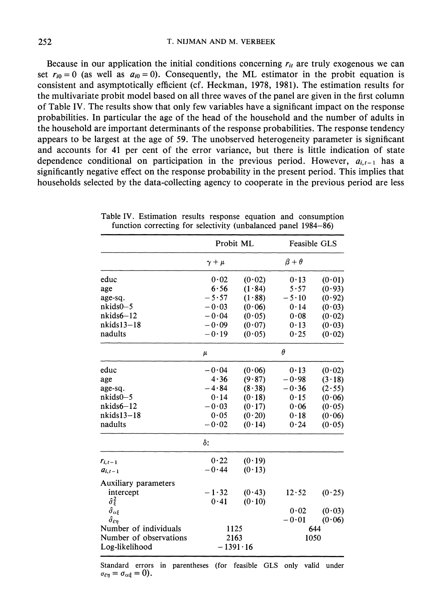Because in our application the initial conditions concerning  $r_{it}$  are truly exogenous we can set  $r_{i0} = 0$  (as well as  $a_{i0} = 0$ ). Consequently, the ML estimator in the probit equation is consistent and asymptotically efficient (cf. Heckman, 1978, 1981). The estimation results for the multivariate probit model based on all three waves of the panel are given in the first column of Table IV. The results show that only few variables have a significant impact on the response probabilities. In particular the age of the head of the household and the number of adults in the household are important determinants of the response probabilities. The response tendency appears to be largest at the age of 59. The unobserved heterogeneity parameter is significant and accounts for 41 per cent of the error variance, but there is little indication of state dependence conditional on participation in the previous period. However,  $a_{i,t-1}$  has a significantly negative effect on the response probability in the present period. This implies that households selected by the data-collecting agency to cooperate in the previous period are less

|                                  | Probit ML      |                  | <b>Feasible GLS</b> |        |  |
|----------------------------------|----------------|------------------|---------------------|--------|--|
|                                  | $\gamma + \mu$ |                  | $\beta + \theta$    |        |  |
| educ                             | 0.02           | (0.02)           | 0.13                | (0.01) |  |
| age                              | 6.56           | (1.84)           | 5.57                | (0.93) |  |
| age-sq.                          | $-5.57$        | (1.88)           | $-5.10$             | (0.92) |  |
| $nkids0-5$                       | $-0.03$        | (0.06)           | 0.14                | (0.03) |  |
| $nkids6-12$                      | $-0.04$        | (0.05)           | 0.08                | (0.02) |  |
| nkids13-18                       | $-0.09$        | (0.07)           | 0.13                | (0.03) |  |
| nadults                          | $-0.19$        | (0.05)           | 0.25                | (0.02) |  |
|                                  | $\mu$          |                  | $\theta$            |        |  |
| educ                             | $-0.04$        | (0.06)           | 0.13                | (0.02) |  |
| age                              | 4.36           | (9.87)           | $-0.98$             | (3.18) |  |
| age-sq.                          | $-4.84$        | (8.38)           | $-0.36$             | (2.55) |  |
| $nkids0-5$                       | 0.14           | (0.18)           | 0.15                | (0.06) |  |
| $nkids6-12$                      | $-0.03$        | (0.17)           | 0.06                | (0.05) |  |
| nkids13-18                       | 0.05           | (0.20)           | 0.18                | (0.06) |  |
| nadults                          | $-0.02$        | (0.14)           | 0.24                | (0.05) |  |
|                                  | δ:             |                  |                     |        |  |
| $r_{i,t-1}$                      | 0.22           | (0.19)           |                     |        |  |
| $a_{i,t-1}$                      | $-0.44$        | (0.13)           |                     |        |  |
| Auxiliary parameters             |                |                  |                     |        |  |
| intercept                        | $-1.32$        | (0.43)           | 12.52               | (0.25) |  |
| $\hat{\sigma}_{\xi}^2$           | 0.41           | (0.10)           |                     |        |  |
| $\hat{\sigma}_{\alpha\xi}$       |                |                  | 0.02                | (0.03) |  |
| $\hat{\sigma}_{\varepsilon\eta}$ |                |                  | $-0.01$             | (0.06) |  |
| Number of individuals            | 1125           |                  |                     | 644    |  |
| Number of observations           | 2163           |                  |                     | 1050   |  |
| Log-likelihood                   |                | $-1391 \cdot 16$ |                     |        |  |

Table IV. Estimation results response equation and consumption function correcting for selectivity (unbalanced panel 1984–86)

Standard errors in parentheses (for feasible GLS only valid under  $\sigma_{\varepsilon\eta}=\sigma_{\alpha\xi}=0$ .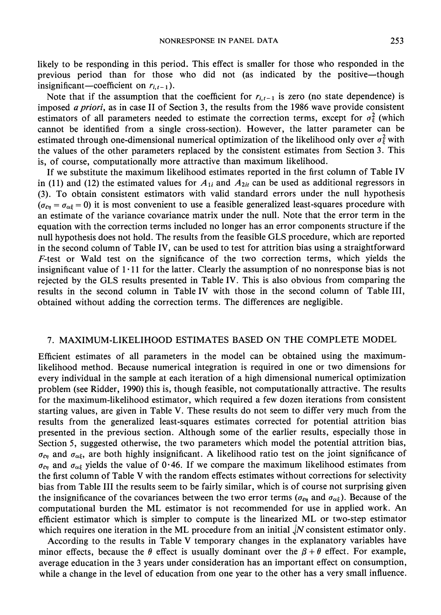likely to be responding in this period. This effect is smaller for those who responded in the previous period than for those who did not (as indicated by the positive-though insignificant—coefficient on  $r_{i,t-1}$ ).

Note that if the assumption that the coefficient for  $r_{i,t-1}$  is zero (no state dependence) is imposed *a priori*, as in case II of Section 3, the results from the 1986 wave provide consistent estimators of all parameters needed to estimate the correction terms, except for  $\sigma_{\xi}^2$  (which cannot be identified from a single cross-section). However, the latter parameter can be estimated through one-dimensional numerical optimization of the likelihood only over  $\sigma_{\epsilon}^2$  with the values of the other parameters replaced by the consistent estimates from Section 3. This is, of course, computationally more attractive than maximum likelihood.

If we substitute the maximum likelihood estimates reported in the first column of Table IV in (11) and (12) the estimated values for  $A_{1i}$  and  $A_{2ii}$  can be used as additional regressors in (3). To obtain consistent estimators with valid standard errors under the null hypothesis  $(\sigma_{\epsilon\eta} = \sigma_{\alpha\xi} = 0)$  it is most convenient to use a feasible generalized least-squares procedure with an estimate of the variance covariance matrix under the null. Note that the error term in the equation with the correction terms included no longer has an error components structure if the null hypothesis does not hold. The results from the feasible GLS procedure, which are reported in the second column of Table IV, can be used to test for attrition bias using a straightforward F-test or Wald test on the significance of the two correction terms, which yields the insignificant value of  $1 \cdot 11$  for the latter. Clearly the assumption of no nonresponse bias is not rejected by the GLS results presented in Table IV. This is also obvious from comparing the results in the second column in Table IV with those in the second column of Table III, obtained without adding the correction terms. The differences are negligible.

# 7. MAXIMUM-LIKELIHOOD ESTIMATES BASED ON THE COMPLETE MODEL

Efficient estimates of all parameters in the model can be obtained using the maximumlikelihood method. Because numerical integration is required in one or two dimensions for every individual in the sample at each iteration of a high dimensional numerical optimization problem (see Ridder, 1990) this is, though feasible, not computationally attractive. The results for the maximum-likelihood estimator, which required a few dozen iterations from consistent starting values, are given in Table V. These results do not seem to differ very much from the results from the generalized least-squares estimates corrected for potential attrition bias presented in the previous section. Although some of the earlier results, especially those in Section 5, suggested otherwise, the two parameters which model the potential attrition bias,  $\sigma_{\epsilon\eta}$  and  $\sigma_{\alpha\epsilon}$ , are both highly insignificant. A likelihood ratio test on the joint significance of  $\sigma_{\epsilon\eta}$  and  $\sigma_{\alpha\xi}$  yields the value of 0.46. If we compare the maximum likelihood estimates from the first column of Table V with the random effects estimates without corrections for selectivity bias from Table III the results seem to be fairly similar, which is of course not surprising given the insignificance of the covariances between the two error terms ( $\sigma_{\epsilon n}$  and  $\sigma_{\alpha \epsilon}$ ). Because of the computational burden the ML estimator is not recommended for use in applied work. An efficient estimator which is simpler to compute is the linearized ML or two-step estimator which requires one iteration in the ML procedure from an initial  $\sqrt{N}$  consistent estimator only.

According to the results in Table V temporary changes in the explanatory variables have minor effects, because the  $\theta$  effect is usually dominant over the  $\beta + \theta$  effect. For example, average education in the 3 years under consideration has an important effect on consumption, while a change in the level of education from one year to the other has a very small influence.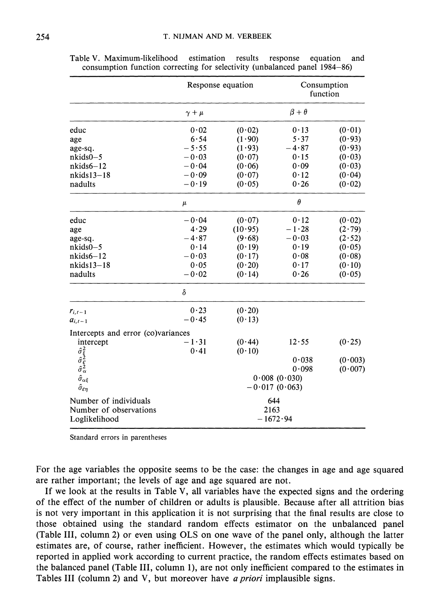|                                                                                                      | Response equation |         | Consumption<br>function |         |  |
|------------------------------------------------------------------------------------------------------|-------------------|---------|-------------------------|---------|--|
|                                                                                                      | $\gamma + \mu$    |         | $\beta + \theta$        |         |  |
| educ                                                                                                 | 0.02              | (0.02)  | 0.13                    | (0.01)  |  |
| age                                                                                                  | 6.54              | (1.90)  | 5.37                    | (0.93)  |  |
| age-sq.                                                                                              | $-5.55$           | (1.93)  | $-4.87$                 | (0.93)  |  |
| $nkids0-5$                                                                                           | $-0.03$           | (0.07)  | 0.15                    | (0.03)  |  |
| $nkids6-12$                                                                                          | $-0.04$           | (0.06)  | 0.09                    | (0.03)  |  |
| $nkids13-18$                                                                                         | $-0.09$           | (0.07)  | 0.12                    | (0.04)  |  |
| nadults                                                                                              | $-0.19$           | (0.05)  | 0.26                    | (0.02)  |  |
|                                                                                                      | $\mu$             |         | $\theta$                |         |  |
| educ                                                                                                 | $-0.04$           | (0.07)  | 0.12                    | (0.02)  |  |
| age                                                                                                  | 4.29              | (10.95) | $-1.28$                 | (2.79)  |  |
| age-sq.                                                                                              | $-4.87$           | (9.68)  | $-0.03$                 | (2.52)  |  |
| $nkids0-5$                                                                                           | 0.14              | (0.19)  | 0.19                    | (0.05)  |  |
| $nkids6-12$                                                                                          | $-0.03$           | (0.17)  | 0.08                    | (0.08)  |  |
| $nkids13-18$                                                                                         | 0.05              | (0.20)  | 0.17                    | (0.10)  |  |
| nadults                                                                                              | $-0.02$           | (0.14)  | 0.26                    | (0.05)  |  |
|                                                                                                      | δ                 |         |                         |         |  |
| $r_{i,t-1}$                                                                                          | 0.23              | (0.20)  |                         |         |  |
| $a_{i,t-1}$                                                                                          | $-0.45$           | (0.13)  |                         |         |  |
| Intercepts and error (co)variances                                                                   |                   |         |                         |         |  |
| intercept                                                                                            | $-1.31$           | (0.44)  | 12.55                   | (0.25)  |  |
|                                                                                                      | 0.41              | (0.10)  |                         |         |  |
| $\begin{array}{c} \hat{\sigma}^2_{\xi}\\ \hat{\sigma}^2_{\xi}\\ \hat{\sigma}^2_{\alpha} \end{array}$ |                   |         | 0.038                   | (0.003) |  |
|                                                                                                      |                   |         | 0.098                   | (0.007) |  |
| $\hat{\sigma}_{\alpha\xi}$                                                                           | 0.008(0.030)      |         |                         |         |  |
| $\hat{\sigma}_{\varepsilon\eta}$                                                                     | $-0.017(0.063)$   |         |                         |         |  |
| Number of individuals                                                                                |                   |         | 644                     |         |  |
| Number of observations                                                                               |                   | 2163    |                         |         |  |
| Loglikelihood                                                                                        |                   |         | $-1672.94$              |         |  |

Table V. Maximum-likelihood estimation results response and equation consumption function correcting for selectivity (unbalanced panel 1984–86)

Standard errors in parentheses

For the age variables the opposite seems to be the case: the changes in age and age squared are rather important; the levels of age and age squared are not.

If we look at the results in Table V, all variables have the expected signs and the ordering of the effect of the number of children or adults is plausible. Because after all attrition bias is not very important in this application it is not surprising that the final results are close to those obtained using the standard random effects estimator on the unbalanced panel (Table III, column 2) or even using OLS on one wave of the panel only, although the latter estimates are, of course, rather inefficient. However, the estimates which would typically be reported in applied work according to current practice, the random effects estimates based on the balanced panel (Table III, column 1), are not only inefficient compared to the estimates in Tables III (column 2) and V, but moreover have *a priori* implausible signs.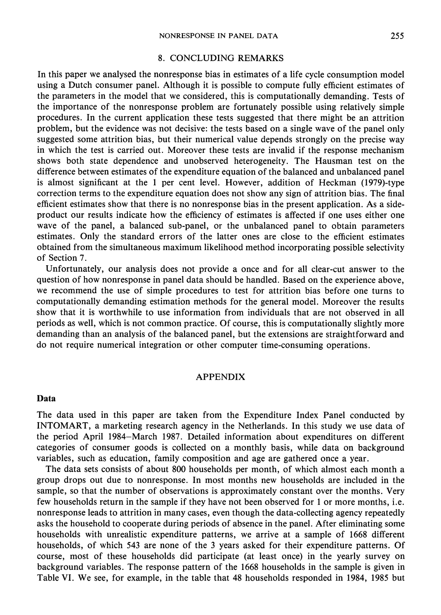# 8. CONCLUDING REMARKS

In this paper we analysed the nonresponse bias in estimates of a life cycle consumption model using a Dutch consumer panel. Although it is possible to compute fully efficient estimates of the parameters in the model that we considered, this is computationally demanding. Tests of the importance of the nonresponse problem are fortunately possible using relatively simple procedures. In the current application these tests suggested that there might be an attrition problem, but the evidence was not decisive: the tests based on a single wave of the panel only suggested some attrition bias, but their numerical value depends strongly on the precise way in which the test is carried out. Moreover these tests are invalid if the response mechanism shows both state dependence and unobserved heterogeneity. The Hausman test on the difference between estimates of the expenditure equation of the balanced and unbalanced panel is almost significant at the 1 per cent level. However, addition of Heckman (1979)-type correction terms to the expenditure equation does not show any sign of attrition bias. The final efficient estimates show that there is no nonresponse bias in the present application. As a sideproduct our results indicate how the efficiency of estimates is affected if one uses either one wave of the panel, a balanced sub-panel, or the unbalanced panel to obtain parameters estimates. Only the standard errors of the latter ones are close to the efficient estimates obtained from the simultaneous maximum likelihood method incorporating possible selectivity of Section 7.

Unfortunately, our analysis does not provide a once and for all clear-cut answer to the question of how nonresponse in panel data should be handled. Based on the experience above, we recommend the use of simple procedures to test for attrition bias before one turns to computationally demanding estimation methods for the general model. Moreover the results show that it is worthwhile to use information from individuals that are not observed in all periods as well, which is not common practice. Of course, this is computationally slightly more demanding than an analysis of the balanced panel, but the extensions are straightforward and do not require numerical integration or other computer time-consuming operations.

### **APPENDIX**

### Data

The data used in this paper are taken from the Expenditure Index Panel conducted by INTOMART, a marketing research agency in the Netherlands. In this study we use data of the period April 1984–March 1987. Detailed information about expenditures on different categories of consumer goods is collected on a monthly basis, while data on background variables, such as education, family composition and age are gathered once a year.

The data sets consists of about 800 households per month, of which almost each month a group drops out due to nonresponse. In most months new households are included in the sample, so that the number of observations is approximately constant over the months. Very few households return in the sample if they have not been observed for 1 or more months, i.e. nonresponse leads to attrition in many cases, even though the data-collecting agency repeatedly asks the household to cooperate during periods of absence in the panel. After eliminating some households with unrealistic expenditure patterns, we arrive at a sample of 1668 different households, of which 543 are none of the 3 years asked for their expenditure patterns. Of course, most of these households did participate (at least once) in the yearly survey on background variables. The response pattern of the 1668 households in the sample is given in Table VI. We see, for example, in the table that 48 households responded in 1984, 1985 but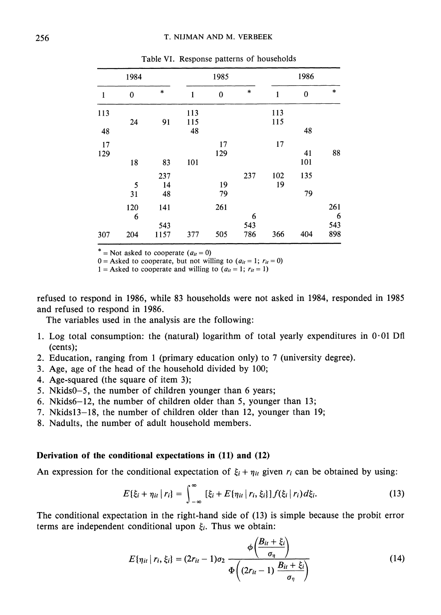| 1984         |                 | 1985               |                  |              | 1986            |              |           |                        |
|--------------|-----------------|--------------------|------------------|--------------|-----------------|--------------|-----------|------------------------|
| $\mathbf{1}$ | $\bf{0}$        | $\ast$             | 1                | $\mathbf{0}$ | $\ast$          | $\mathbf{1}$ | 0         | *                      |
| 113<br>48    | 24              | 91                 | 113<br>115<br>48 |              |                 | 113<br>115   | 48        |                        |
| 17<br>129    | 18              | 83                 | 101              | 17<br>129    |                 | 17           | 41<br>101 | 88                     |
|              | 5<br>31         | 237<br>14<br>48    |                  | 19<br>79     | 237             | 102<br>19    | 135<br>79 |                        |
| 307          | 120<br>6<br>204 | 141<br>543<br>1157 | 377              | 261<br>505   | 6<br>543<br>786 | 366          | 404       | 261<br>6<br>543<br>898 |

Table VI. Response patterns of households

\* = Not asked to cooperate  $(a_{it} = 0)$ 

0 = Asked to cooperate, but not willing to  $(a_{it} = 1; r_{it} = 0)$ 

1 = Asked to cooperate and willing to  $(a_{it} = 1; r_{it} = 1)$ 

refused to respond in 1986, while 83 households were not asked in 1984, responded in 1985 and refused to respond in 1986.

The variables used in the analysis are the following:

- 1. Log total consumption: the (natural) logarithm of total yearly expenditures in  $0.01$  Dfl  $(cents);$
- 2. Education, ranging from 1 (primary education only) to 7 (university degree).
- 3. Age, age of the head of the household divided by 100;
- 4. Age-squared (the square of item 3);
- 5. Nkids0–5, the number of children younger than 6 years;
- 6. Nkids6-12, the number of children older than 5, younger than 13;
- 7. Nkids13-18, the number of children older than 12, younger than 19;
- 8. Nadults, the number of adult household members.

### Derivation of the conditional expectations in (11) and (12)

An expression for the conditional expectation of  $\xi_i + \eta_{ii}$  given  $r_i$  can be obtained by using:

$$
E\{\xi_i + \eta_{it} \mid r_i\} = \int_{-\infty}^{\infty} [\xi_i + E\{\eta_{it} \mid r_i, \xi_i\}] f(\xi_i \mid r_i) d\xi_i.
$$
 (13)

The conditional expectation in the right-hand side of (13) is simple because the probit error terms are independent conditional upon  $\xi_i$ . Thus we obtain:

$$
E\{\eta_{ii} | r_i, \xi_i\} = (2r_{ii} - 1)\sigma_2 \frac{\phi\left(\frac{B_{ii} + \xi_i}{\sigma_{\eta}}\right)}{\Phi\left((2r_{ii} - 1)\frac{B_{ii} + \xi_i}{\sigma_{\eta}}\right)}
$$
(14)